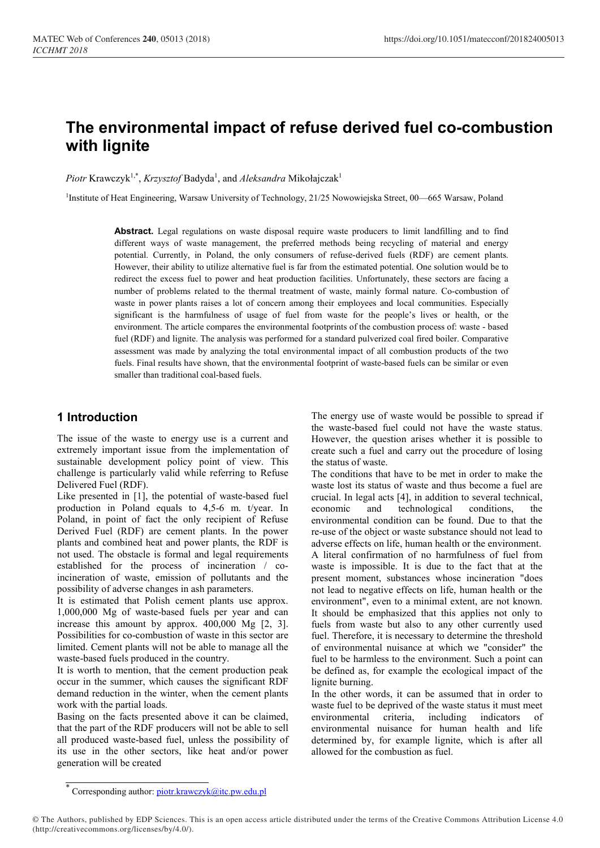# The environmental impact of refuse derived fuel co-combustion with lignite

Piotr Krawczyk<sup>1,\*</sup>, *Krzysztof* Badyda<sup>1</sup>, and *Aleksandra* Mikołajczak<sup>1</sup>

1Institute of Heat Engineering, Warsaw University of Technology, 21/25 Nowowiejska Street, 00—665 Warsaw, Poland

Abstract. Legal regulations on waste disposal require waste producers to limit landfilling and to find different ways of waste management, the preferred methods being recycling of material and energy potential. Currently, in Poland, the only consumers of refuse-derived fuels (RDF) are cement plants. However, their ability to utilize alternative fuel is far from the estimated potential. One solution would be to redirect the excess fuel to power and heat production facilities. Unfortunately, these sectors are facing a number of problems related to the thermal treatment of waste, mainly formal nature. Co-combustion of waste in power plants raises a lot of concern among their employees and local communities. Especially significant is the harmfulness of usage of fuel from waste for the people's lives or health, or the environment. The article compares the environmental footprints of the combustion process of: waste - based fuel (RDF) and lignite. The analysis was performed for a standard pulverized coal fired boiler. Comparative assessment was made by analyzing the total environmental impact of all combustion products of the two fuels. Final results have shown, that the environmental footprint of waste-based fuels can be similar or even smaller than traditional coal-based fuels.

## 1 Introduction

The issue of the waste to energy use is a current and extremely important issue from the implementation of sustainable development policy point of view. This challenge is particularly valid while referring to Refuse Delivered Fuel (RDF).

Like presented in [1], the potential of waste-based fuel production in Poland equals to 4,5-6 m. t/year. In Poland, in point of fact the only recipient of Refuse Derived Fuel (RDF) are cement plants. In the power plants and combined heat and power plants, the RDF is not used. The obstacle is formal and legal requirements established for the process of incineration / coincineration of waste, emission of pollutants and the possibility of adverse changes in ash parameters.

It is estimated that Polish cement plants use approx. 1,000,000 Mg of waste-based fuels per year and can increase this amount by approx. 400,000 Mg [2, 3]. Possibilities for co-combustion of waste in this sector are limited. Cement plants will not be able to manage all the waste-based fuels produced in the country.

It is worth to mention, that the cement production peak occur in the summer, which causes the significant RDF demand reduction in the winter, when the cement plants work with the partial loads.

Basing on the facts presented above it can be claimed, that the part of the RDF producers will not be able to sell all produced waste-based fuel, unless the possibility of its use in the other sectors, like heat and/or power generation will be created

The energy use of waste would be possible to spread if the waste-based fuel could not have the waste status. However, the question arises whether it is possible to create such a fuel and carry out the procedure of losing the status of waste.

The conditions that have to be met in order to make the waste lost its status of waste and thus become a fuel are crucial. In legal acts [4], in addition to several technical, economic and technological conditions, the environmental condition can be found. Due to that the re-use of the object or waste substance should not lead to adverse effects on life, human health or the environment. A literal confirmation of no harmfulness of fuel from waste is impossible. It is due to the fact that at the present moment, substances whose incineration "does not lead to negative effects on life, human health or the environment", even to a minimal extent, are not known. It should be emphasized that this applies not only to fuels from waste but also to any other currently used fuel. Therefore, it is necessary to determine the threshold of environmental nuisance at which we "consider" the fuel to be harmless to the environment. Such a point can be defined as, for example the ecological impact of the lignite burning.

In the other words, it can be assumed that in order to waste fuel to be deprived of the waste status it must meet environmental criteria, including indicators of environmental nuisance for human health and life determined by, for example lignite, which is after all allowed for the combustion as fuel.

© The Authors, published by EDP Sciences. This is an open access article distributed under the terms of the Creative Commons Attribution License 4.0 (http://creativecommons.org/licenses/by/4.0/).

<sup>\*</sup> Corresponding author: piotr.krawczyk@itc.pw.edu.pl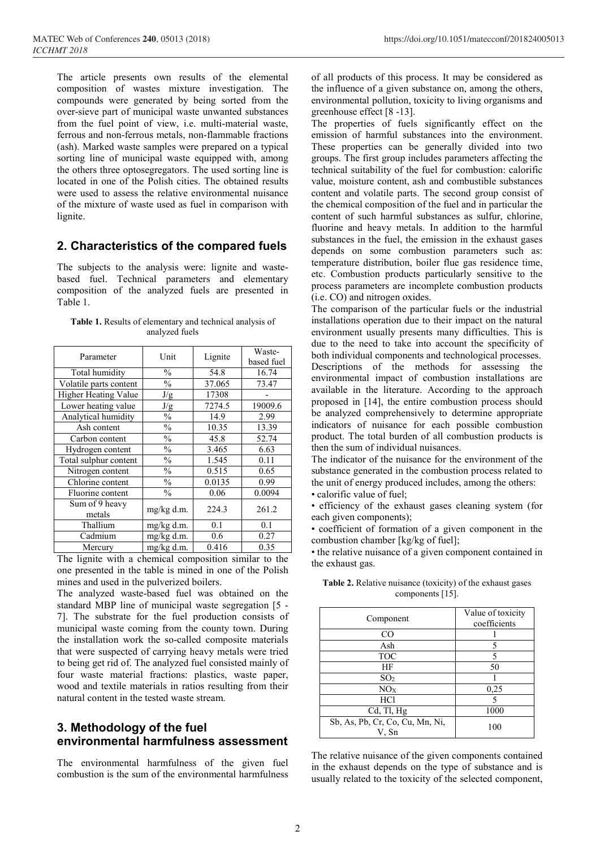The article presents own results of the elemental composition of wastes mixture investigation. The compounds were generated by being sorted from the over-sieve part of municipal waste unwanted substances from the fuel point of view, i.e. multi-material waste, ferrous and non-ferrous metals, non-flammable fractions (ash). Marked waste samples were prepared on a typical sorting line of municipal waste equipped with, among the others three optosegregators. The used sorting line is located in one of the Polish cities. The obtained results were used to assess the relative environmental nuisance of the mixture of waste used as fuel in comparison with lignite.

#### 2. Characteristics of the compared fuels

The subjects to the analysis were: lignite and wastebased fuel. Technical parameters and elementary composition of the analyzed fuels are presented in Table 1.

Table 1. Results of elementary and technical analysis of analyzed fuels

| Parameter                   | Unit          | Lignite       | Waste-     |  |
|-----------------------------|---------------|---------------|------------|--|
|                             |               |               | based fuel |  |
| Total humidity              | $\frac{0}{0}$ | 54.8<br>16.74 |            |  |
| Volatile parts content      | $\%$          | 37.065        | 73.47      |  |
| <b>Higher Heating Value</b> | J/g           | 17308         |            |  |
| Lower heating value         | J/g           | 7274.5        | 19009.6    |  |
| Analytical humidity         | $\%$          | 14.9          | 2.99       |  |
| Ash content                 | $\frac{0}{0}$ | 10.35         | 13.39      |  |
| Carbon content              | $\frac{0}{0}$ | 45.8          | 52.74      |  |
| Hydrogen content            | $\frac{0}{0}$ | 3.465         | 6.63       |  |
| Total sulphur content       | $\frac{0}{0}$ | 1.545         | 0.11       |  |
| Nitrogen content            | $\frac{0}{0}$ | 0.515         | 0.65       |  |
| Chlorine content            | $\frac{0}{0}$ | 0.0135        | 0.99       |  |
| Fluorine content            | $\frac{0}{0}$ | 0.06          | 0.0094     |  |
| Sum of 9 heavy              |               |               |            |  |
| metals                      | $mg/kg$ d.m.  | 224.3         | 261.2      |  |
| Thallium                    | mg/kg d.m.    | 0.1           | 0.1        |  |
| Cadmium                     | mg/kg d.m.    | 0.6           | 0.27       |  |
| Mercury                     | mg/kg d.m.    | 0.416         | 0.35       |  |

The lignite with a chemical composition similar to the one presented in the table is mined in one of the Polish mines and used in the pulverized boilers.

The analyzed waste-based fuel was obtained on the standard MBP line of municipal waste segregation [5 - 7]. The substrate for the fuel production consists of municipal waste coming from the county town. During the installation work the so-called composite materials that were suspected of carrying heavy metals were tried to being get rid of. The analyzed fuel consisted mainly of four waste material fractions: plastics, waste paper, wood and textile materials in ratios resulting from their natural content in the tested waste stream.

## 3. Methodology of the fuel environmental harmfulness assessment

The environmental harmfulness of the given fuel combustion is the sum of the environmental harmfulness of all products of this process. It may be considered as the influence of a given substance on, among the others, environmental pollution, toxicity to living organisms and greenhouse effect [8 -13].

The properties of fuels significantly effect on the emission of harmful substances into the environment. These properties can be generally divided into two groups. The first group includes parameters affecting the technical suitability of the fuel for combustion: calorific value, moisture content, ash and combustible substances content and volatile parts. The second group consist of the chemical composition of the fuel and in particular the content of such harmful substances as sulfur, chlorine, fluorine and heavy metals. In addition to the harmful substances in the fuel, the emission in the exhaust gases depends on some combustion parameters such as: temperature distribution, boiler flue gas residence time, etc. Combustion products particularly sensitive to the process parameters are incomplete combustion products (i.e. CO) and nitrogen oxides.

The comparison of the particular fuels or the industrial installations operation due to their impact on the natural environment usually presents many difficulties. This is due to the need to take into account the specificity of both individual components and technological processes. Descriptions of the methods for assessing the environmental impact of combustion installations are available in the literature. According to the approach proposed in [14], the entire combustion process should be analyzed comprehensively to determine appropriate indicators of nuisance for each possible combustion product. The total burden of all combustion products is then the sum of individual nuisances.

The indicator of the nuisance for the environment of the substance generated in the combustion process related to the unit of energy produced includes, among the others:

• calorific value of fuel;

• efficiency of the exhaust gases cleaning system (for each given components);

• coefficient of formation of a given component in the combustion chamber [kg/kg of fuel];

• the relative nuisance of a given component contained in the exhaust gas.

| Component                       | Value of toxicity |  |
|---------------------------------|-------------------|--|
|                                 | coefficients      |  |
| $_{\rm CO}$                     |                   |  |
| Ash                             | 5                 |  |
| <b>TOC</b>                      | 5                 |  |
| ΗF                              | 50                |  |
| SO <sub>2</sub>                 |                   |  |
| NO <sub>X</sub>                 | 0,25              |  |
| HCl                             | 5                 |  |
| $Cd$ , Tl, Hg                   | 1000              |  |
| Sb, As, Pb, Cr, Co, Cu, Mn, Ni, | 100               |  |
| V, Sn                           |                   |  |

Table 2. Relative nuisance (toxicity) of the exhaust gases components [15].

The relative nuisance of the given components contained in the exhaust depends on the type of substance and is usually related to the toxicity of the selected component,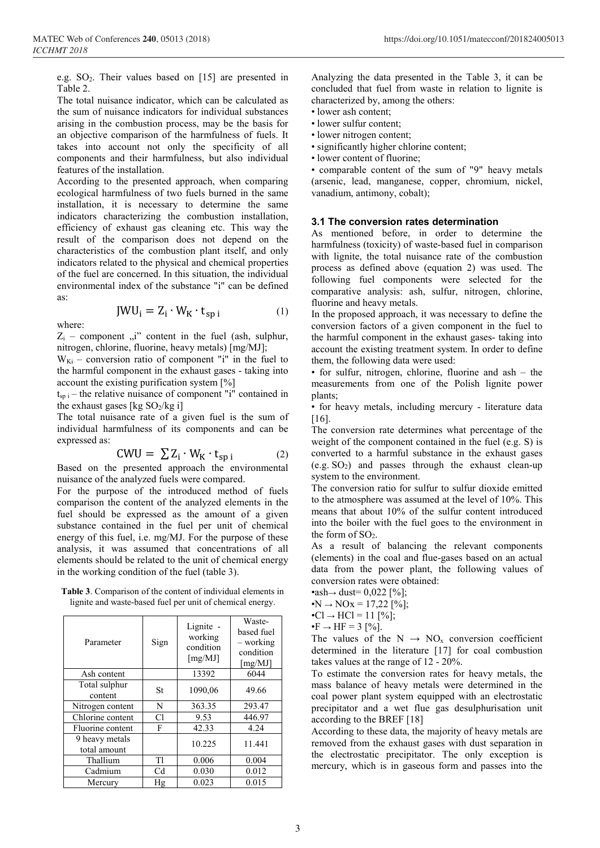e.g.  $SO_2$ . Their values based on [15] are presented in Table 2.

The total nuisance indicator, which can be calculated as the sum of nuisance indicators for individual substances arising in the combustion process, may be the basis for an objective comparison of the harmfulness of fuels. It takes into account not only the specificity of all components and their harmfulness, but also individual features of the installation.

According to the presented approach, when comparing ecological harmfulness of two fuels burned in the same installation, it is necessary to determine the same indicators characterizing the combustion installation, efficiency of exhaust gas cleaning etc. This way the result of the comparison does not depend on the characteristics of the combustion plant itself, and only indicators related to the physical and chemical properties of the fuel are concerned. In this situation, the individual environmental index of the substance "i" can be defined as:

$$
JWU_i = Z_i \cdot W_K \cdot t_{\text{sp }i} \tag{1}
$$

where:

 $Z_i$  – component  $\ddot{v}$  content in the fuel (ash, sulphur, nitrogen, chlorine, fluorine, heavy metals) [mg/MJ];

 $W_{Ki}$  – conversion ratio of component "i" in the fuel to the harmful component in the exhaust gases - taking into account the existing purification system [%]

 $t_{sp i}$  – the relative nuisance of component "i" contained in the exhaust gases [kg  $SO_2/kg$  i]

The total nuisance rate of a given fuel is the sum of individual harmfulness of its components and can be expressed as:

$$
CWU = \sum Z_i \cdot W_K \cdot t_{sp i} \tag{2}
$$

Based on the presented approach the environmental nuisance of the analyzed fuels were compared.

For the purpose of the introduced method of fuels comparison the content of the analyzed elements in the fuel should be expressed as the amount of a given substance contained in the fuel per unit of chemical energy of this fuel, i.e. mg/MJ. For the purpose of these analysis, it was assumed that concentrations of all elements should be related to the unit of chemical energy in the working condition of the fuel (table 3).

Table 3. Comparison of the content of individual elements in lignite and waste-based fuel per unit of chemical energy.

| Parameter                      | Sign | Lignite -<br>working<br>condition<br>[mg/MJ] | Waste-<br>based fuel<br>– working<br>condition<br>[mg/MJ] |
|--------------------------------|------|----------------------------------------------|-----------------------------------------------------------|
| Ash content                    |      | 13392                                        | 6044                                                      |
| Total sulphur<br>content       | St   | 1090,06                                      | 49.66                                                     |
| Nitrogen content               | N    | 363.35                                       | 293.47                                                    |
| Chlorine content               | C1   | 9.53                                         | 446.97                                                    |
| Fluorine content               | F    | 42.33                                        | 4.24                                                      |
| 9 heavy metals<br>total amount |      | 10.225                                       | 11.441                                                    |
| Thallium                       | T1   | 0.006                                        | 0.004                                                     |
| Cadmium                        | Cd   | 0.030                                        | 0.012                                                     |
| Mercury                        | Hg   | 0.023                                        | 0.015                                                     |

Analyzing the data presented in the Table 3, it can be concluded that fuel from waste in relation to lignite is characterized by, among the others:

- lower ash content;
- lower sulfur content;
- lower nitrogen content;
- significantly higher chlorine content;
- lower content of fluorine;

• comparable content of the sum of "9" heavy metals (arsenic, lead, manganese, copper, chromium, nickel, vanadium, antimony, cobalt);

## 3.1 The conversion rates determination

As mentioned before, in order to determine the harmfulness (toxicity) of waste-based fuel in comparison with lignite, the total nuisance rate of the combustion process as defined above (equation 2) was used. The following fuel components were selected for the comparative analysis: ash, sulfur, nitrogen, chlorine, fluorine and heavy metals.

In the proposed approach, it was necessary to define the conversion factors of a given component in the fuel to the harmful component in the exhaust gases- taking into account the existing treatment system. In order to define them, the following data were used:

• for sulfur, nitrogen, chlorine, fluorine and ash – the measurements from one of the Polish lignite power plants;

• for heavy metals, including mercury - literature data [16].

The conversion rate determines what percentage of the weight of the component contained in the fuel (e.g. S) is converted to a harmful substance in the exhaust gases  $(e.g. SO<sub>2</sub>)$  and passes through the exhaust clean-up system to the environment.

The conversion ratio for sulfur to sulfur dioxide emitted to the atmosphere was assumed at the level of 10%. This means that about 10% of the sulfur content introduced into the boiler with the fuel goes to the environment in the form of  $SO<sub>2</sub>$ .

As a result of balancing the relevant components (elements) in the coal and flue-gases based on an actual data from the power plant, the following values of conversion rates were obtained:

•ash→ dust=  $0,022$  [%];

•N  $\rightarrow$  NOx = 17,22 [%];

•C $l \to HCl = 11$  [%];

 $\cdot \mathbf{F} \rightarrow \mathbf{HF} = 3$  [%].

The values of the  $N \rightarrow NO_x$  conversion coefficient determined in the literature [17] for coal combustion takes values at the range of 12 - 20%.

To estimate the conversion rates for heavy metals, the mass balance of heavy metals were determined in the coal power plant system equipped with an electrostatic precipitator and a wet flue gas desulphurisation unit according to the BREF [18]

According to these data, the majority of heavy metals are removed from the exhaust gases with dust separation in the electrostatic precipitator. The only exception is mercury, which is in gaseous form and passes into the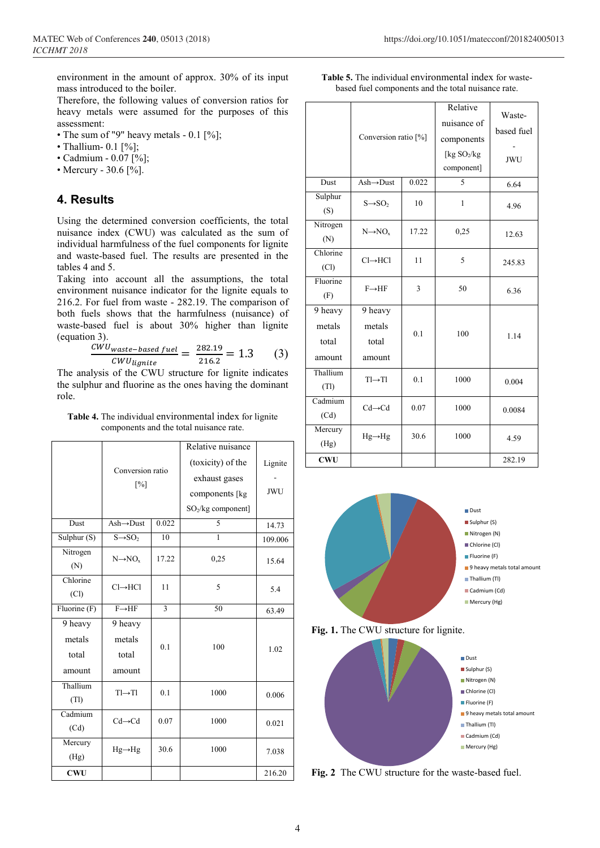environment in the amount of approx. 30% of its input mass introduced to the boiler.

Therefore, the following values of conversion ratios for heavy metals were assumed for the purposes of this assessment:

- The sum of "9" heavy metals 0.1 [%];
- Thallium-  $0.1$  [%];
- Cadmium 0.07 [%];
- Mercury 30.6 [%].

#### 4. Results

Using the determined conversion coefficients, the total nuisance index (CWU) was calculated as the sum of individual harmfulness of the fuel components for lignite and waste-based fuel. The results are presented in the tables 4 and 5.

Taking into account all the assumptions, the total environment nuisance indicator for the lignite equals to 216.2. For fuel from waste - 282.19. The comparison of both fuels shows that the harmfulness (nuisance) of waste-based fuel is about 30% higher than lignite (equation 3).

$$
\frac{CWU_{waste-based fuel}}{CWU_{lignite}} = \frac{282.19}{216.2} = 1.3
$$
 (3)

The analysis of the CWU structure for lignite indicates the sulphur and fluorine as the ones having the dominant role.

Table 4. The individual environmental index for lignite components and the total nuisance rate.

|                  | Conversion ratio<br>$\lceil\% \rceil$ |                | Relative nuisance              |            |  |
|------------------|---------------------------------------|----------------|--------------------------------|------------|--|
|                  |                                       |                | (toxicity) of the              | Lignite    |  |
|                  |                                       |                | exhaust gases                  |            |  |
|                  |                                       |                | components [kg                 | <b>JWU</b> |  |
|                  |                                       |                | SO <sub>2</sub> /kg component] |            |  |
| Dust             | $Ash \rightarrow Dust$                | 0.022          | 5                              | 14.73      |  |
| Sulphur $(S)$    | $S \rightarrow SO$                    | 10             | 1                              | 109.006    |  |
| Nitrogen<br>(N)  | $N \rightarrow NO_{x}$                | 17.22          | 0,25                           | 15.64      |  |
| Chlorine<br>(Cl) | $Cl \rightarrow HCl$                  | 11             | 5                              | 5.4        |  |
| Fluorine (F)     | $F \rightarrow HF$                    | $\overline{3}$ | 50                             | 63.49      |  |
| 9 heavy          | 9 heavy                               |                |                                |            |  |
| metals           | metals                                | 0.1            | 100                            |            |  |
| total            | total                                 |                |                                | 1.02       |  |
| amount           | amount                                |                |                                |            |  |
| Thallium         | $TI \rightarrow TI$                   | 0.1            | 1000                           | 0.006      |  |
| (Tl)             |                                       |                |                                |            |  |
| Cadmium          | $Cd \rightarrow Cd$                   | 0.07           | 1000                           | 0.021      |  |
| (Cd)             |                                       |                |                                |            |  |
| Mercury<br>(Hg)  | $Hg \rightarrow Hg$                   | 30.6           | 1000                           | 7.038      |  |
| <b>CWU</b>       |                                       |                |                                | 216.20     |  |
|                  |                                       |                |                                |            |  |

| <b>Table 5.</b> The individual environmental index for waste- |  |
|---------------------------------------------------------------|--|
| based fuel components and the total nuisance rate.            |  |

|                                      | Conversion ratio [%]                              |       | Relative<br>nuisance of<br>components<br>[ $kg SO2/kg$ ]<br>component] | Waste-<br>based fuel<br><b>JWU</b> |
|--------------------------------------|---------------------------------------------------|-------|------------------------------------------------------------------------|------------------------------------|
| Dust                                 | $Ash \rightarrow Dust$                            | 0.022 | 5                                                                      | 6.64                               |
| Sulphur<br>(S)                       | $S \rightarrow SO$                                | 10    | $\mathbf{1}$                                                           | 4.96                               |
| Nitrogen<br>(N)                      | $N \rightarrow NO_{x}$                            | 17.22 | 0,25                                                                   | 12.63                              |
| Chlorine<br>(Cl)                     | $Cl \rightarrow HCl$                              | 11    | 5                                                                      | 245.83                             |
| Fluorine<br>(F)                      | $F \rightarrow HF$                                | 3     | 50                                                                     | 6.36                               |
| 9 heavy<br>metals<br>total<br>amount | $\overline{9}$ heavy<br>metals<br>total<br>amount | 0.1   | 100                                                                    | 1.14                               |
| Thallium<br>(Tl)                     | $TI \rightarrow TI$                               | 0.1   | 1000                                                                   | 0.004                              |
| Cadmium<br>(Cd)                      | $Cd \rightarrow Cd$                               | 0.07  | 1000                                                                   | 0.0084                             |
| Mercury<br>(Hg)                      | $Hg \rightarrow Hg$                               | 30.6  | 1000                                                                   | 4.59                               |
| <b>CWU</b>                           |                                                   |       |                                                                        | 282.19                             |







Fig. 2 The CWU structure for the waste-based fuel.